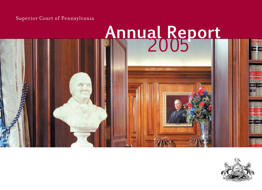Superior Court of Pennsylvania

## <sup>2005</sup> **Annual Report**

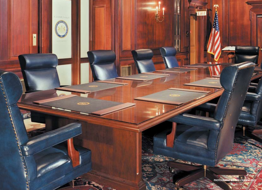**PHOTOGRAPHY BY TOM CRANE ©2005** 

E X I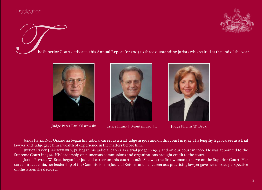

The Superior Court dedicates this Annual Report for 2005 to three outstanding jurists who retired at the end of the year.





Judge Peter Paul Olszewski Justice Frank J. Montemuro, Jr. Judge Phyllis W. Beck



Judge Peter Paul Olszewski began his judicial career as a trial judge in 1968 and on this court in 1984. His lengthy legal career as a trial lawyer and judge gave him a wealth of experience in the matters before him.

Justice Frank J. Montemuro, Jr. began his judicial career as a trial judge in 1964 and on our court in 1980. He was appointed to the Supreme Court in 1992. His leadership on numerous commissions and organizations brought credit to the court.

Judge Phyllis W. Beck began her judicial career on this court in 1981. She was the first woman to serve on the Superior Court. Her career in academia, her leadership of the Commission on Judicial Reform and her career as a practicing lawyer gave her a broad perspective on the issues she decided.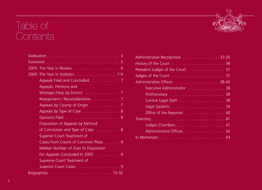### Table of **Contents**

| Appeals Filed and Concluded. 7       |
|--------------------------------------|
| Appeals, Petitions and               |
| Wiretaps Filed, by District 7        |
|                                      |
| Appeals by County of Origin 7        |
| Appeals by Type of Case 8            |
|                                      |
| Disposition of Appeals by Method     |
| of Conclusion and Type of Case 8     |
| Superior Court Treatment of          |
| Cases From Courts of Common Pleas 9  |
| Median Number of Days to Disposition |
| For Appeals Concluded In 2005. 9     |
| Supreme Court Treatment of           |
|                                      |
|                                      |

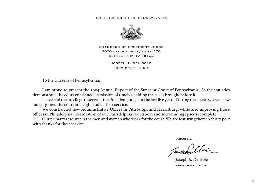#### superior court of pennsylvania



chambers of president judge 2000 oxford drive, suite 470 bethel park, pa 15102

> joseph a. del sole president judge

To the Citizens of Pennsylvania:

I am proud to present the 2005 Annual Report of the Superior Court of Pennsylvania. As the statistics demonstrate, the court continued its mission of timely deciding the cases brought before it.

I have had the privilege to serve as the President Judge for the last five years. During these years, seven new judges joined the court and eight ended their service.

We constructed new Administrative Offices in Pittsburgh and Harrisburg, while also improving those offices in Philadelphia. Restoration of our Philadelphia courtroom and surrounding space is complete.

Our primary resource is the men and women who work for the court. We are featuring them in this report with thanks for their service.

**Sincerely,** Sincerely,

Janna Illaer

 Joseph A. Del Sole president judge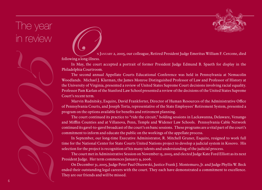The year in review

following a long illness.

In May, the court accepted a portrait of former President Judge Edmund B. Spaeth for display in the Philadelphia Courtroom.

2002)<br>
2008 Millioning a long liness,<br>
2008 Millioning a long liness,<br>
2008 Millioning a long liness,<br>
2008 Millioning a long liness,<br>
2008 Millioning a long liness,<br>
2008 Minlioning a long liness,<br>
2008 Minlioning a long The second annual Appellate Courts Educational Conference was held in Pennsylvania at Nemacolin Woodlands. Michael J. Klarman, the James Monroe Distinguished Professor of Law and Professor of History at the University of Virginia, presented a review of United States Supreme Court decisions involving racial equality. Professor Pam Karlan of the Stanford Law School presented a review of the decisions of the United States Supreme Court's recent term.

Marvin Rudnitsky, Esquire, David Frankforter, Director of Human Resources of the Administrative Office of Pennsylvania Courts, and Joseph Torta, representative of the State Employees' Retirement System, presented a program on the options available for benefits and retirement planning.

The court continued its practice to "ride the circuit," holding sessions in Lackawanna, Delaware, Venango and Mifflin Counties and at Villanova, Penn, Temple and Widener Law Schools. Pennsylvania Cable Network continued its gavel-to-gavel broadcast of the court's en banc sessions. These programs are a vital part of the court's commitment to inform and educate the public on the workings of the appellate process.

In September, our long-time Executive Administrator, R. Mitchell Gruner, Esquire, resigned to work full time for the National Center for State Courts United Nations project to develop a judicial system in Kosovo. His selection for the project is recognition of his many talents and understanding of the judicial process.

The court met in Administrative Session on November 15, 2005, and elected Judge Kate Ford Elliott as its next President Judge. Her term commences January 9, 2006.

On December 31, 2005, Judge Peter Paul Olszewski, Justice Frank J. Montemuro, Jr. and Judge Phyllis W. Beck ended their outstanding legal careers with the court. They each have demonstrated a commitment to excellence. They are our friends and will be missed.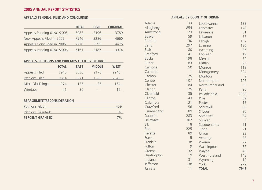#### **Appeals Pending, Fil ed and Conclud e d**

|                            | <b>TOTAL</b> | <b>CIVIL</b> | <b>CRIMINAL</b> |
|----------------------------|--------------|--------------|-----------------|
| Appeals Pending 01/01/2005 | 5985         | 2196         | 3789            |
| New Appeals Filed in 2005  | 7946         | 3286         | 4660            |
| Appeals Concluded in 2005  | 7770         | 3295         | 4475            |
| Appeals Pending 01/01/2006 | 6161         | 2187         | 3974            |

#### **Appeals, petitions and wiretaps filed, by district**

| <b>2005 ANNUAL REPORT STATISTICS</b>               |              |              |               |                 |  |  |  |
|----------------------------------------------------|--------------|--------------|---------------|-----------------|--|--|--|
| <b>APPEALS PENDING, FILED AND CONCLUDED</b>        |              |              |               |                 |  |  |  |
|                                                    |              | <b>TOTAL</b> | <b>CIVIL</b>  | <b>CRIMINAL</b> |  |  |  |
| Appeals Pending 01/01/2005                         |              | 5985         | 2196          | 3789            |  |  |  |
| New Appeals Filed in 2005                          |              | 7946         | 3286          | 4660            |  |  |  |
| Appeals Concluded in 2005                          |              | 7770         | 3295          | 4475            |  |  |  |
| Appeals Pending 01/01/2006                         |              | 6161         | 2187          | 3974            |  |  |  |
| APPEALS, PETITIONS AND WIRETAPS FILED, BY DISTRICT |              |              |               |                 |  |  |  |
|                                                    | <b>TOTAL</b> | <b>EAST</b>  | <b>MIDDLE</b> | <b>WEST</b>     |  |  |  |
| <b>Appeals Filed</b>                               | 7946         | 3530         | 2176          | 2240            |  |  |  |
| <b>Petitions Filed</b>                             | 9814         | 5671         | 1603          | 2540            |  |  |  |
| Misc. Dkt Filings                                  | 374          | 135          | 85            | 154             |  |  |  |
| <b>Wiretaps</b>                                    | 46           | 30           |               | 16              |  |  |  |
| REARGUMENT/RECONSIDERATION                         |              |              |               |                 |  |  |  |
| Petitions Filed:                                   |              |              |               | 459             |  |  |  |
| Petitions Granted:                                 |              |              |               | 32              |  |  |  |
| <b>PERCENT GRANTED:</b>                            |              |              |               | 7%              |  |  |  |

#### **Rearg ument/Reconsiderat ion**

| Petitions Filed:        |    |
|-------------------------|----|
| Petitions Granted:      |    |
| <b>PERCENT GRANTED:</b> | 7% |

#### **appeals by co unty of or i g i n**

| Adams           | 33           | Lackawanna     | 133            |
|-----------------|--------------|----------------|----------------|
| Allegheny       | 854          | Lancaster      | 178            |
| Armstrong       | 23           | Lawrence       | 61             |
| Beaver          | 59           | Lebanon        | 57             |
| <b>Bedford</b>  | 30           | Lehigh         | 167            |
| <b>Berks</b>    | 297          | Luzerne        | 190            |
| <b>Blair</b>    | 80           | Lycoming       | 86             |
| <b>Bradford</b> | 41           | McKean         | 19             |
| <b>Bucks</b>    | 198          | Mercer         | 82             |
| <b>Butler</b>   | 83           | Mifflin        | 23             |
| Cambria         | 50           | Monroe         | 119            |
| Cameron         | $\mathbf{1}$ | Montgomery     | 304            |
| Carbon          | 25           | Montour        | 9              |
| Centre          | 107          | Northampton    | 106            |
| Chester         | 184          | Northumberland | 35             |
| Clarion         | 25           | Perry          | 26             |
| Clearfield      | 35           | Philadelphia   | 2038           |
| Clinton         | 43           | Pike           | 39             |
| Columbia        | 31           | Potter         | 15             |
| Crawford        | 56           | Schuylkill     | 66             |
| Cumberland      | 89           | Snyder         | 20             |
| Dauphin         | 283          | Somerset       | 34             |
| Delaware        | 302          | Sullivan       | $\overline{3}$ |
| Elk             | 18           | Susquehanna    | 21             |
| Erie            | 225          | Tioga          | 21             |
| Fayette         | 89           | Union          | 23             |
| Forest          | 5            | Venango        | 33             |
| Franklin        | 38           | Warren         | 27             |
| Fulton          | 9            | Washington     | 87             |
| Greene          | 32           | Wayne          | 48             |
| Huntingdon      | 19           | Westmoreland   | 148            |
| Indiana         | 31           | Wyoming        | 12             |
| Jefferson       | 38           | York           | 272            |
| Juniata         | 11           | <b>TOTAL</b>   | 7946           |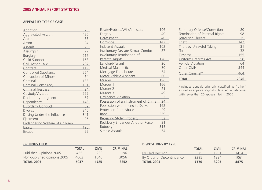#### **Appeals by type of case**

| Adoption                                                           | 26  |
|--------------------------------------------------------------------|-----|
| <b>Aggravated Assault</b>                                          | 490 |
| Arbitration                                                        | 33  |
| Arson<br><u> 1989 - Johann Barnett, fransk politiker (</u>         | 24  |
| Assault                                                            | 23  |
| Assumpsit                                                          | 99  |
| <b>Burglary</b><br><u> 1989 - Johann Barbara, martxa a</u>         | 217 |
| Child Support<br><u> 1990 - Johann Barnett, fransk politiker (</u> | 163 |
| Civil Action Law                                                   | 787 |
| Contract                                                           | 119 |
| Controlled Substance                                               | 564 |
| <b>Corruption of Minors</b>                                        | 64  |
| Criminal                                                           | 138 |
| Criminal Conspiracy                                                | 101 |
| <b>Criminal Trespass</b>                                           | 24  |
| Custody/Visitation                                                 | 229 |
| Declaratory Judgment                                               | 67  |
| Dependency                                                         | 148 |
| Disorderly Conduct                                                 | 32  |
| <b>Divorce</b>                                                     | 245 |
| Driving Under the Influence                                        | 341 |
| Ejectment                                                          | 26  |
| Endangering Welfare of Children                                    | 33  |
| Equity                                                             | 120 |
| Escape                                                             | 25  |

| Estate/Probate/Wills/Intestate                                                                                                    | 106 |
|-----------------------------------------------------------------------------------------------------------------------------------|-----|
| <b>Forgery</b><br><u> 1989 - Johann Barn, mars ann an t-A</u>                                                                     | 40  |
| Harassment                                                                                                                        | 40  |
| Homicide                                                                                                                          | 142 |
| <b>Indecent Assault</b>                                                                                                           | 102 |
| <b>Involuntary Deviate Sexual Conduct</b>                                                                                         | 87  |
| Involuntary Termination of                                                                                                        |     |
| Parental Rights<br><u> 1990 - Jan Barnett, fransk politik (</u>                                                                   | 178 |
| Landlord/Tenant<br>the control of the control of the                                                                              | 26  |
| <b>Medical Malpractice</b><br><u> 1989 - Johann Barn, mars ann an t-</u>                                                          | 80  |
| Mortgage Foreclosure<br>the company of the company of                                                                             | 54  |
| Motor Vehicle Accident                                                                                                            | 60  |
| Murder                                                                                                                            | 196 |
| Murder 1<br><u> 1989 - Johann Barn, mars et al. 1989 - Anna ann an t-Anna ann an t-Anna ann an t-Anna ann an t-Anna ann an t-</u> | 166 |
| Murder 2                                                                                                                          | 21  |
| Murder <sub>3</sub>                                                                                                               | 49  |
| Ordinance Violation                                                                                                               | 32  |
| Possession of an Instrument of Crime                                                                                              | 74  |
| Possession with Intend to Deliver                                                                                                 | 162 |
| <b>Protection from Abuse</b>                                                                                                      | 49  |
| Rape                                                                                                                              | 239 |
| Receiving Stolen Property                                                                                                         | 52  |
| Recklessly Endanger Another Person                                                                                                | 31  |
| <b>Robbery</b><br>and the company of the company                                                                                  | 315 |
| Simple Assault                                                                                                                    | 54  |
|                                                                                                                                   |     |

| Summary Offense/Conviction            |     |
|---------------------------------------|-----|
| <b>Termination of Parental Rights</b> | 98  |
| <b>Terroristic Threats</b>            | 35  |
| Theft                                 | 142 |
| Theft by Unlawful Taking              | 31  |
| Tort                                  | 32  |
| <b>Trespass</b>                       | 155 |
| <b>Uniform Firearms Act</b>           | 58  |
| Vehicle Violation                     | 64  |
| Other Civil*                          | 344 |
| Other Criminal*                       |     |
|                                       |     |

\*Includes appeals originally classified as "other" as well as appeals originally classified in categories with fewer than 20 appeals filed in 2005

#### **Opinions Filed**

|                             | <b>TOTAL</b> | <b>CIVIL</b> | <b>CRIMINAL</b> |
|-----------------------------|--------------|--------------|-----------------|
| Published Opinions 2005     | 435          | 239          | 196             |
| Non-published opinions 2005 | 4602         | 1546         | 3056            |
| <b>TOTAL 2005</b>           | 5037         | 1785         | 3252            |

#### **Dispositions by Type**

|                            | <b>TOTAL</b> | <b>CIVIL</b> | <b>CRIMINAL</b> |
|----------------------------|--------------|--------------|-----------------|
| By Filed Decision          | 5375         | 1961         | 3414            |
| By Order or Discontinuance | 2395         | 1334         | 1061            |
| <b>TOTAL 2005</b>          | 7770         | 3295         | 4475            |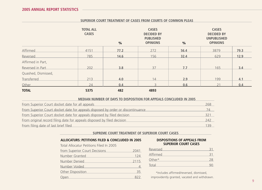#### **Superior Court Treatment of Cases from Courts of Common Pleas**

|                     | <b>TOTAL ALL</b><br><b>CASES</b> | %    | <b>CASES</b><br><b>DECIDED BY</b><br><b>PUBLISHED</b><br><b>OPINIONS</b> | $\frac{0}{6}$ | <b>CASES</b><br><b>DECIDED BY</b><br><b>UNPUBLISHED</b><br><b>OPINIONS</b> |      |
|---------------------|----------------------------------|------|--------------------------------------------------------------------------|---------------|----------------------------------------------------------------------------|------|
| <b>Affirmed</b>     | 4151                             | 77.2 | 272                                                                      | 56.4          | 3879                                                                       | 79.3 |
| Reversed            | 785                              | 14.6 | 156                                                                      | 32.4          | 629                                                                        | 12.9 |
| Affirmed in Part,   |                                  |      |                                                                          |               |                                                                            |      |
| Reversed in Part    | 202                              | 3.8  | 37                                                                       | 7.7           | 165                                                                        | 3.4  |
| Quashed, Dismissed, |                                  |      |                                                                          |               |                                                                            |      |
| <b>Transferred</b>  | 213                              | 4.0  | 14                                                                       | 2.9           | 199                                                                        | 4.1  |
| Other               | 24                               | 0.4  |                                                                          | 0.6           |                                                                            | 0.4  |
| <b>TOTAL</b>        | 5375                             | 482  | 4893                                                                     |               |                                                                            |      |

#### **Median Number of Days to Disposition for Appeals Concluded in 2005**

| From Superior Court docket date for all appeals                                 | 268 |
|---------------------------------------------------------------------------------|-----|
| From Superior Court docket date for appeals disposed by order or discontinuance |     |
| From Superior Court docket date for appeals disposed by filed decision          | 32' |
| From original record filing date for appeals disposed by filed decision         | 242 |
| From filing date of last brief filed                                            | 139 |

#### **SUPREME COURT TREATMENT OF SUPERIOR COURT CASES**

#### **ALLOCATURS: Petitions FILED & CONCLUDED in 2005**

Total Allocatur Petitions Filed In 2005

| from Superior Court Decisions | 2041 |
|-------------------------------|------|
| Number Granted                | 124  |
| Number Denied                 | 2115 |
| Number Voided                 | 4    |
| Other Disposition             | 35   |
| Open                          | 877  |

#### **DISPOSITIONS OF APPEALS FROM SUPERIOR COURT CASES**

| Reversed |  |
|----------|--|
| Affirmed |  |
| Other*   |  |
| Total    |  |

\*Includes affirmed/reversed, dismissed, improvidently granted, vacated and withdrawn.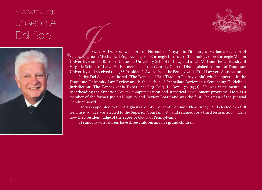#### President Judge

## Joseph A.





Del Sole<br>Del Sole Joseph A. Del Sole was born on November 16, 1940, in Pittsburgh. He has a Bachelor of<br>Sciencedegree in Mechanical Engineering from Carnegie Institute of Technology (now Carnegie Mellon<br>University); an LL. Science degree in Mechanical Engineering from Carnegie Institute of Technology (now Carnegie Mellon University); an LL.B. from Duquesne University School of Law; and a L.L.M. from the University of Virginia School of Law. He is a member of the Century Club of Distinguished Alumni of Duquesne University and received the 1988 President's Award from the Pennsylvania Trial Lawyers Association.

> Judge Del Sole co-authored "The Demise of Fair Trade in Pennsylvania" which appeared in the Duquesne University Law Review and is the author of "Appellate Review in a Sentencing Guidelines Jurisdiction: The Pennsylvania Experience." 31 Duq. L. Rev. 479 (1993). He was instrumental in spearheading the Superior Court's computerization and statistical development programs. He was a member of the former Judicial Inquiry and Review Board and was the first Chairman of the Judicial Conduct Board.

> He was appointed to the Allegheny County Court of Common Pleas in 1978 and elected to a full term in 1979. He was elected to the Superior Court in 1983, and retained for a third term in 2003. He is now the President Judge of the Superior Court of Pennsylvania.

He and his wife, Karen, have three children and five grand children.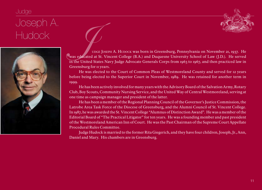#### Judge

## Joseph A.



HUQOCK USEPH A. Hudock was born in Greensburg, Pennsylvania on November 21, 1937. He<br>In the United States Navy Judge Advocate Generals Corps from 1963 to 1967, and then practiced law in was educated at St. Vincent College (B.A.) and Duquesne University School of Law (J.D.). He served in the United States Navy Judge Advocate Generals Corps from 1963 to 1967, and then practiced law in Greensburg for  $\pi$  years.

> He was elected to the Court of Common Pleas of Westmoreland County and served for 12 years before being elected to the Superior Court in November, 1989. He was retained for another term in 1999.

> He has been actively involved for many years with the Advisory Board of the Salvation Army, Rotary Club, Boy Scouts, Community Nursing Service, and the United Way of Central Westmoreland, serving at one time as campaign manager and president of the latter.

> He has been a member of the Regional Planning Council of the Governor's Justice Commission, the Latrobe Area Task Force of the Diocese of Greensburg, and the Alumni Council of St. Vincent College. In 1987, he was awarded the St. Vincent College "Alumnus of Distinction Award". He was a member of the Editorial Board of "The Practical Litigator" for ten years. He was a founding member and past president of the Westmoreland American Inn of Court. He was the Past Chairman of the Supreme Court Appellate Procedural Rules Committee.

> Judge Hudock is married to the former Rita Giegerich, and they have four children, Joseph, Jr., Ann, Daniel and Mary. His chambers are in Greensburg.

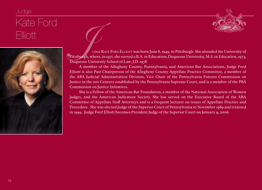## Judge Kate Ford





ElliOtt UDGE KATE FORD ELLIOTT was born June 8, 1949, in Pittsburgh. She attended the University of<br>Duquesne University School of Law, J.D. 1978.<br>Duquesne University School of Law, J.D. 1978. Pittsburgh, where, in 1971, she earned a B.A. in Education; Duquesne University, M.S. in Education, 1973; Duquesne University School of Law, J.D. 1978.

A member of the Allegheny County, Pennsylvania, and American Bar Associations, Judge Ford Elliott is also Past Chairperson of the Allegheny County Appellate Practice Committee, a member of the ABA Judicial Administration Division, Vice Chair of the Pennsylvania Futures Commission on Justice in the 21st Century established by the Pennsylvania Supreme Court, and is a member of the PBA Commission on Justice Initiatives.

She is a Fellow of the American Bar Foundation, a member of the National Association of Women Judges, and the American Judicature Society. She has served on the Executive Board of the ABA Committee of Appellate Staff Attorneys and is a frequent lecturer on issues of Appellate Practice and Procedure. She was elected Judge of the Superior Court of Pennsylvania in November 1989 and retained in 1999. Judge Ford Elliott becomes President Judge of the Superior Court on January 9, 2006.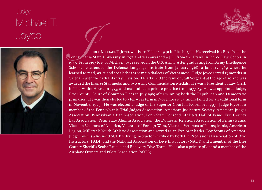## Judge Michael T.<br>Joyce





JOYCE JUDGE MICHAEL T. Joyce was born Feb. 24, 1949 in Pittsburgh. He received his B.A. from the Transvigning State University in 1973 and was awarded a J.D. from the Franklin Pierce Law Center in 1977. From 1967 to 1970 M Pennsylvania State University in 1973 and was awarded a J.D. from the Franklin Pierce Law Center in 1977. From 1967 to 1970 Michael Joyce served in the U.S. Army. After graduating from Army Intelligence School, he attended the Defense Language Institute from January 1968 to January 1969 where he learned to read, write and speak the three main dialects of Vietnamese. Judge Joyce served 13 months in Vietnam with the 25th Infantry Division. He attained the rank of Staff Sergeant at the age of 20 and was awarded the Bronze Star medal and two Army Commendation Medals. He was a Presidential Law Clerk in The White House in 1975, and maintained a private practice from 1977-85. He was appointed judge, Erie County Court of Common Pleas in July 1985 after winning both the Republican and Democratic primaries. He was then elected to a ten-year term in November 1985, and retained for an additional term in November 1995. He was elected a judge of the Superior Court in November 1997. Judge Joyce is a member of the Pennsylvania Trial Judges Association, American Judicature Society, American Judges Association, Pennsylvania Bar Association, Penn State Behrend Athlete's Hall of Fame, Erie County Bar Association, Penn State Alumni Association, the Domestic Relations Association of Pennsylvania, Vietnam Veterans of America, Veterans of Foreign Wars, Vietnam Veterans of Pennsylvania, American Legion, Millcreek Youth Athletic Association and served as an Explorer leader, Boy Scouts of America. Judge Joyce is a licensed SCUBA diving instructor certified by both the Professional Association of Dive Instructors (PADI) and the National Association of Dive Instructors (NAUI) and a member of the Erie County Sheriff's Scuba Rescue and Recovery Dive Team. He is also a private pilot and a member of the Airplane Owners and Pilots Association (AOPA).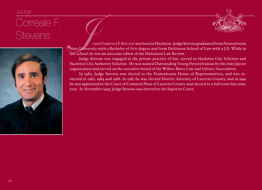### Judge

## Correale F.



STEVENS<br>
STEVENS<br>
STE VENS<br>
STE VENS<br>
STE VENS<br>
STE VENS<br>
STE VENS<br>
STE VENS<br>
STE VENS<br>
STE VENS<br>
STE VENS<br>
STE VENS<br>
STE VENS<br>
STE VENS<br>
STE VENS<br>
STE VENS<br>
STE VENS<br>
TRIVER'S GRIVER'S degree and from Dickinson School of State University with a Bachelor of Arts degree and from Dickinson School of Law with a J.D. While in law school, he was an associate editor of the Dickinson Law Review.

Judge Stevens was engaged in the private practice of law, served as Hazleton City Solicitor and Hazleton City Authority Solicitor. He was named Outstanding Young Pennsylvanian by the state Jaycee organization and served on the executive board of the Wilkes-Barre Law and Library Association.

In 1980, Judge Stevens was elected to the Pennsylvania House of Representatives, and was reelected in 1982, 1984 and 1986. In 1987 he was elected District Attorney of Luzerne County, and in 1991 he was appointed to the Court of Common Pleas of Luzerne County and elected to a full term that same year. In November 1997, Judge Stevens was elected to the Superior Court.

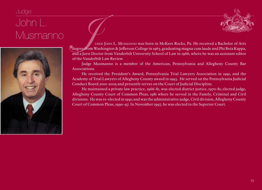## Judge John L.<br>Musmanno



MUSMANNO<br>
USMANNO UDGE JOHN L. MUSMANNO WAS born in McKees Rocks, Pa. He received a Bachelor of Arts<br>
degree from Washington & Jefferson College in 1963, graduating magna cum laude and Phi Beta Kappa,<br>
and a Juris Doctor f degree from Washington & Jefferson College in 1963, graduating magna cum laude and Phi Beta Kappa, and a Juris Doctor from Vanderbilt University School of Law in 1966, where he was an assistant editor of the Vanderbilt Law Review.

> Judge Musmanno is a member of the American, Pennsylvania and Allegheny County Bar Associations.

> He received the President's Award, Pennsylvania Trial Lawyers Association in 1991, and the Academy of Trial Lawyers of Allegheny County award in 1993. He served on the Pennsylvania Judicial Conduct Board 2001-2005 and presently serves on the Court of Judicial Discipline.

> He maintained a private law practice, 1966-81, was elected district justice, 1970-81; elected judge, Allegheny County Court of Common Pleas, 1981 where he served in the Family, Criminal and Civil divisions. He was re-elected in 1991; and was the administrative judge, Civil division, Allegheny County Court of Common Pleas, 1990-97. In November 1997, he was elected to the Superior Court.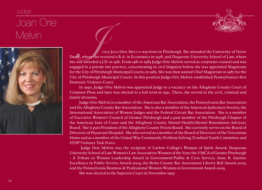## Judge Joan Orie



Melvin Judge Joan Orie Melvin was born in Pittsburgh. She attended the University of Notre<br>Dame, where she received a B.A. in Economics in 1978, and Duquesne University School of Law, where<br>she was awarded a J.D. in 1981. Dame, where she received a B.A. in Economics in 1978, and Duquesne University School of Law, where she was awarded a J.D. in 1981. From 1981 to 1985 Judge Orie Melvin served as corporate counsel and was engaged in a private law practice, concentrating in civil litigation before she was appointed Magistrate for the City of Pittsburgh Municipal Courts, in 1985. She was then named Chief Magistrate in 1987 for the City of Pittsburgh Municipal Courts. In this position Judge Orie Melvin established Pennsylvania's first Domestic Violence Court.

> In 1990, Judge Orie Melvin was appointed Judge to a vacancy on the Allegheny County Court of Common Pleas and later was elected to a full term in 1991. There, she served in the civil, criminal and family divisions.

> Judge Orie Melvin is a member of the American Bar Association, the Pennsylvania Bar Association and the Allegheny County Bar Association. She is also a member of the American Judicature Society, the International Association of Women Judges and the Federal Circuit Bar Association. She is a member of Executive Women's Council of Greater Pittsburgh and a past member of the Pittsburgh Chapter of the American Inns of Court and the Allegheny County Mental Health/Mental Retardation Advisory Board. She is past President of the Allegheny County Prison Board. She currently serves on the Board of Directors of Passavant Hospital. She also served as a member of the Board of Directors of the Vincentian Home and as a member of the United Way Community Problem Solving Troubled Youth Committee and STOP Violence Task Force.

> Judge Orie Melvin was the recipient of Carlow College's Woman of Spirit Award; Duquesne University School of Law Women's Law Association Woman of the Year; the YMCA of Greater Pittsburgh - A Tribute to Women Leadership Award in Government/Public & Civic Service; Anne B. Anstine Excellence in Public Service Award-2004; the Berks County Bar Association Liberty Bell Award-2005; and the Pennsylvania Business & Professional Women-Women in Government Award-2005.

She was elected to the Superior Court in November 1997.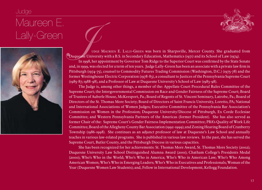### Judge







Lally-Green  $\Box$ <br>
UDGE MAUREEN E. LALLY-GREEN was born in Sharpsville, Mercer County. She graduated from<br>
Duquesne University with a B.S. in Secondary Education, Mathematics (1971) and its School of Law (1974).<br>
In 1998, h Duquesne University with a B.S. in Secondary Education, Mathematics (1971) and its School of Law (1974).

In 1998, her appointment by Governor Tom Ridge to the Superior Court was confirmed by the State Senate and, in 1999, was elected for a term of ten years. Judge Lally-Green has been an associate with a private law firm in Pittsburgh (1974-75), counsel to Commodity Futures Trading Commission (Washington, D.C.) (1975-78) and the former Westinghouse Electric Corporation (1978-83), a consultant to Justices of the Pennsylvania Supreme Court (1985-87; 1988-98), and a Professor of Law at Duquesne University's School of Law (1983-98).

The Judge is, among other things, a member of the: Appellate Court Procedural Rules Committee of the Supreme Court; the Intergovernmental Commission on Race and Gender Fairness of the Supreme Court; Board of Trustees of Auberle House, McKeesport, Pa.; Board of Regents of St. Vincent Seminary, Latrobe, Pa.; Board of Directors of the St. Thomas More Society; Board of Directors of Saint Francis University, Loretto, PA; National and International Associations of Women Judges; Executive Committee of the Pennsylvania Bar Association's Commission on Women in the Profession; Duquesne University/Diocese of Pittsburgh, Ex Corde Ecclesiae Committee; and Western Pennsylvania Partners of the Americas (former President). She has also served as former Chair of the: Supreme Court's Gender Fairness Implementation Committee; PBA's Quality of Work Life Committee; Board of the Allegheny County Bar Association (1992-1999); and Zoning Hearing Board of Cranberry Township (1986-1998). She continues as an adjunct professor of law at Duquesne's Law School and annually teaches in various law-related programs. She is published in various law reviews. In the past, she has served the Supreme Court, Butler County, and the Pittsburgh Diocese in various capacities.

She has been recognized for her achievements: St. Thomas More Award, St. Thomas More Society (2002); Duquesne University Law School Distinguished Alumna Award (2001); Chatham College's Presidents Medal (2000); Who's Who in the World; Who's Who in America; Who's Who in American Law; Who's Who Among American Women; Who's Who in Emerging Leaders; Who's Who in Executives and Professionals; Woman of the Year (Duquesne Women Law Students); and, Fellow in International Development, Kellogg Foundation.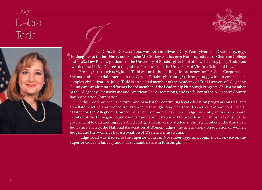## Judge Debra<br>Todd



TOOC USE OF BERA MCCLOSKEY TODD WAS born in Ellwood City, Pennsylvania on October 15, 1957,<br>
TOOC USE DEBRA MCCLOSKEY TODD WAS born in Ellwood City, Pennsylvania on October 15, 1957,<br>
The daughter of the late Harry and Bla the daughter of the late Harry and Blanche McCloskey. She is a 1979 Honors graduate of Chatham College and a 1982 Law Review graduate of the University of Pittsburgh School of Law. In 2004, Judge Todd was awarded the LL.M. Degree in the Judicial Process from the University of Virginia School of Law.

> From 1982 through 1987, Judge Todd was an in-house litigation attorney for U.S. Steel Corporation. She maintained a trial practice in the City of Pittsburgh from 1987 through 1999 with an emphasis in complex civil litigation. Judge Todd is an elected member of the Academy of Trial Lawyers of Allegheny County and an alumna and former board member of the Leadership Pittsburgh Program. She is a member of the Allegheny, Pennsylvania and American Bar Associations, and is a fellow of the Allegheny County Bar Association Foundation.

> Judge Todd has been a lecturer and panelist for continuing legal education programs on trial and appellate practice and procedure. From 1989 through 1999, She served as a Court-Appointed Special Master for the Allegheny County Court of Common Pleas. The Judge presently serves as a board member of the Finnegan Foundation, a foundation established to provide internships in Pennsylvania government to outstanding accredited college and university students. She is a member of the American Judicature Society, the National Association of Women Judges, the International Association of Women Judges, and the Women's Bar Association of Western Pennsylvania.

> Judge Todd was elected to the Superior Court in November 1999, and commenced service on the Superior Court in January 2000. Her chambers are in Pittsburgh.

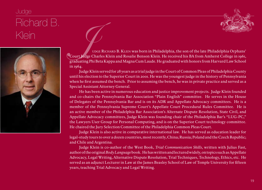## Judge Richard B.



MONATO B.<br>WEIN WORK RICHARD B. KLEIN was born in Philadelphia, the son of the late Philadelphia Orphans'<br>Gourt Judge Charles Klein and Rosalie Benson Klein. He received his BA from Amherst College in 1961,<br>graduating Phi B Court Judge Charles Klein and Rosalie Benson Klein. He received his BA from Amherst College in 1961, graduating Phi Beta Kappa and Magna Cum Laude. He graduated with honors from Harvard Law School in 1964.

> Judge Klein served for 28 years as a trial judge in the Court of Common Pleas of Philadelphia County until his election to the Superior Court in 2001. He was the youngest judge in the history of Pennsylvania when he first assumed the bench. Prior to assuming the bench, he was in private practice and served as a Special Assistant Attorney General.

> He has been active in numerous education and justice improvement projects. Judge Klein founded and co-chairs the Pennsylvania Bar Association "Plain English" committee. He serves in the House of Delegates of the Pennsylvania Bar and is on its ADR and Appellate Advocacy committees. He is a member of the Pennsylvania Supreme Court's Appellate Court Procedural Rules Committee. He is an active member of the Philadelphia Bar Association's Alternate Dispute Resolution, State Civil, and Appellate Advocacy committees, Judge Klein was founding chair of the Philadelphia Bar's "LUG-PC," the Lawyers User Group for Personal Computing, and is on the Superior Court technology committee. He chaired the Jury Selection Committee of the Philadelphia Common Pleas Court.

> Judge Klein is also active in comparative international law. He has served as education leader for legal-study tours to over a dozen countries, most recently, China; Russia; Poland and the Czech Republic; and Chile and Argentina.

> Judge Klein is co-author of the West Book, *Trial Communication Skills*, written with Julius Fast, author of the original *Body Language* book. He has written and lectured widely, on topics such as Appellate Advocacy, Legal Writing, Alternative Dispute Resolution, Trial Techniques, Technology, Ethics, etc. He served as an adjunct Lecturer in Law at the James Beasley School of Law of Temple University for fifteen years, teaching Trial Advocacy and Legal Writing.

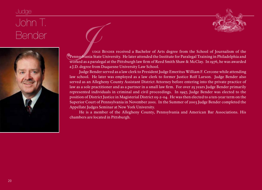## Judge John T.



Bender Judge Bender received a Bachelor of Arts degree from the School of Journalism of the<br>Dennsylvania State University. He later attended the Institute for Paralegal Training in Philadelphia and<br>Worked as a paralegal at Pennsylvania State University. He later attended the Institute for Paralegal Training in Philadelphia and worked as a paralegal at the Pittsburgh law firm of Reed Smith Shaw & McClay. In 1976, he was awarded a J.D. degree from Duquesne University Law School.

> Judge Bender served as a law clerk to President Judge Emeritus William F. Cercone while attending law school. He later was employed as a law clerk to former Justice Rolf Larson. Judge Bender also served as an Allegheny County Assistant District Attorney before entering into the private practice of law as a sole practitioner and as a partner in a small law firm. For over 25 years Judge Bender primarily represented individuals in criminal and civil proceedings. In 1997, Judge Bender was elected to the position of District Justice in Magisterial District 05-2-04. He was then elected to a ten-year term on the Superior Court of Pennsylvania in November 2001. In the Summer of 2003 Judge Bender completed the Appellate Judges Seminar at New York University.

> He is a member of the Allegheny County, Pennsylvania and American Bar Associations. His chambers are located in Pittsburgh.

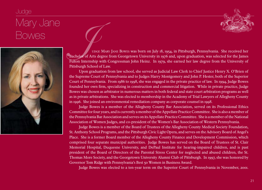## Judge Mary Jane<br>Bowes





BOWES<br>
MARY JANE BOWES<br>
PUGGE MARY JANE BOWES was born on July 18, 1954, in Pittsburgh, Pennsylvania. She received her<br>
Pulton Internship with Congressman John Heinz. In 1979, she earned her law degree from the University Bachelor of Arts degree from Georgetown University in 1976 and, upon graduation, was selected for the James Fulton Internship with Congressman John Heinz. In 1979, she earned her law degree from the University of Pittsburgh School of Law.

> Upon graduation from law school, she served as Judicial Law Clerk to Chief Justice Henry X. O'Brien of the Supreme Court of Pennsylvania and to Judges Harry Montgomery and John P. Hester, both of the Superior Court of Pennsylvania. From 1986 to 1998, she was engaged in the private practice of law. In 1994, Judge Bowes founded her own firm, specializing in construction and commercial litigation. While in private practice, Judge Bowes was chosen as arbitrator in numerous matters in both federal and state court arbitration programs as well as in private arbitrations. She was elected to membership in the Academy of Trial Lawyers of Allegheny County in 1996. She joined an environmental remediation company as corporate counsel in 1998.

> Judge Bowes is a member of the Allegheny County Bar Association, served on its Professional Ethics Committee for four years, and is currently a member of the Appellate Practice Committee. She is also a member of the Pennsylvania Bar Association and serves on its Appellate Practice Committee. She is a member of the National Association of Women Judges, and co-president of the Women's Bar Association of Western Pennsylvania.

> Judge Bowes is a member of the Board of Trustees of the Allegheny County Medical Society Foundation, St. Anthony School Programs, and the Pittsburgh Civic Light Opera, and serves on the Advisory Board of Angel's Place. She is a former Board member of the Allegheny County Finance and Development Commission, which comprised four separate municipal authorities. Judge Bowes has served on the Board of Trustees of St. Clair Memorial Hospital, Duquesne University, and DePaul Institute for hearing-impaired children, and is past president of the Board of Directors of the Parental Stress Center for neglected and abused children, the St. Thomas More Society, and the Georgetown University Alumni Club of Pittsburgh. In 1997, she was honored by Governor Tom Ridge with Pennsylvania's Best 50 Women in Business Award.

Judge Bowes was elected to a ten-year term on the Superior Court of Pennsylvania in November, 2001.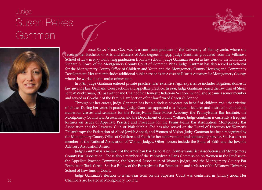



GANTMAN JUGE SUSAN PEIKES GANTMAN is a cum laude graduate of the University of Pennsylvania, where she<br>received her Bachelor of Arts and Masters of Arts degrees in 1974. Judge Gantman graduated from the Villanova<br>School of received her Bachelor of Arts and Masters of Arts degrees in 1974. Judge Gantman graduated from the Villanova School of Law in 1977. Following graduation from law school, Judge Gantman served as law clerk to the Honorable Richard S. Lowe, of the Montgomery County Court of Common Pleas. Judge Gantman has also served as Solicitor for the Montgomery County Office of Children and Youth and the Montgomery County Housing and Community Development. Her career includes additional public service as an Assistant District Attorney for Montgomery County, where she worked in the major crimes unit.

> In 1981, Judge Gantman entered private practice. Her extensive legal experience includes litigation, domestic law, juvenile law, Orphans' Court actions and appellate practice. In 1991, Judge Gantman joined the law firm of Sherr, Joffe & Zuckerman, P.C. as Partner and Chair of the Domestic Relations Section. In 1998, she became a senior member and served as Co-chair of the Family Law Section of the law firm of Cozen O'Connor.

> Throughout her career, Judge Gantman has been a tireless advocate on behalf of children and other victims of abuse. During her years in practice, Judge Gantman appeared as a frequent lecturer and instructor, conducting numerous classes and seminars for the Pennsylvania State Police Academy, the Pennsylvania Bar Institute, the Montgomery County Bar Association, and the Department of Public Welfare. Judge Gantman is currently a frequent lecturer on issues of Appellate Practice and Procedure for the Pennsylvania Bar Association, Montgomery Bar Association and the Lawyers' Club of Philadelphia. She has also served on the Board of Directors for Women's Philanthropy, the Federation of Allied Jewish Appeal, and Women of Vision. Judge Gantman has been recognized by the Montgomery County Office of Children and Youth for her achievements and outstanding service. She is a current member of the National Association of Women Judges. Other honors include the Bond of Faith and the Juvenile Advisory Association Award.

> Judge Gantman is a member of the American Bar Association, Pennsylvania Bar Association and Montgomery County Bar Association. She is also a member of the Pennsylvania Bar's Commission on Women in the Profession, the Appellate Practice Committee, the National Association of Women Judges, and the Montgomery County Bar Foundation Taxis Circle. She is a Fellow of the Pennsylvania Bar Foundation and a Master of the Villanova University School of Law Inns of Court.

> Judge Gantman's election to a ten-year term on the Superior Court was confirmed in January 2004. Her Chambers are located in Montgomery County.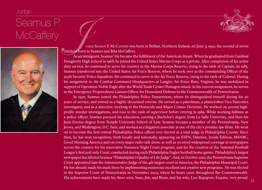#### Judge

## Seamus P.





MCCaffery<br>McCaffery<br>Judge Seamus P. McCaffery was born in Belfast, Northern Ireland, on June 3, 1950, the second of seven<br>As an immigrant, Seamus' life became the fulfillment of the American dream. When he graduated from C children born to Seamus and Rita McCaffery.

As an immigrant, Seamus' life became the fulfillment of the American dream. When he graduated from Cardinal Dougherty High School in 1968, he joined the United States Marine Corps as a private. After completion of his active duty service, he continued to serve his country in the Marine Corps Reserve, rising to the rank of Captain. In 1985, Seamus transferred into the United States Air Force Reserve, where he took over as the commanding Officer of the 913th Security Police Squadron. He continued to serve in the Air Force Reserve, rising to the rank of Colonel. During his assignment to Air Combat Command Headquarters at Langley Air Force Base, Virginia, he was mobilized in support of Operation Noble Eagle after the World Trade Center/Pentagon attack. In his current assignment, he serves as the Emergency Preparedness Liaison Officer for Homeland Defense to the Commonwealth of Pennsylvania.

In 1970, Seamus joined the Philadelphia Police Department, where he distinguished himself during his 20 years of service, and retired as a highly-decorated veteran. He served as a patrolman, a plainclothes Vice/Narcotics investigator, and as a detective, working in the Homicide and Major Crimes Divisions. He worked on several highprofile murder investigations, and rose to the rank of supervisor before retiring in 1989. While working fulltime as a police officer, Seamus pursued his education, earning a Bachelor's degree from La Salle University, and then his Juris Doctor degree from Temple University School of Law. Seamus became a member of the Pennsylvania, New Jersey, and Washington, D.C. bars, and worked as a litigation associate at one of the city's premier law firms. He went on to become the first retired Philadelphia Police officer ever elected as a trial judge in Philadelphia County. Since then, he has won recognition, both locally and nationally, appearing on ESPN, Dateline, Inside Edition, MSNBC, Good Morning America and on every major radio talk show, as well as received widespread coverage in newspapers across the country for his innovative Nuisance Night Court program, and for the creation of the National Football League's first and only Court, conducted during each Philadelphia Eagles football home games. Philadelphia's largest newspaper has labeled Seamus "Philadelphia's Quality of Life Judge". And, in October 2001, the Pennsylvania Supreme Court appointed him the Administrative Judge of the 4th largest court in America, the Philadelphia Municipal Court. He has already made his mark there by implementing numerous excellent and creative new programs. He was elected to the Superior Court of Pennsylvania in November 2003, where he hears cases throughout the Commonwealth. His achievements have made his three sons, Sean, Jim, and Brian, and his wife, Lise Rapaport, Esquire, very proud.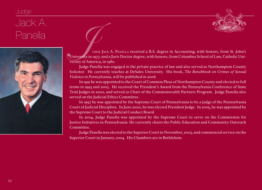## Judge Jack A.





Panella Judge Jack A. Panella received a B.S. degree in Accounting, with honors, from St. John's<br>University in 1977, and a Juris Doctor degree, with honors, from Columbus School of Law, Catholic University of America, in 1 University in 1977, and a Juris Doctor degree, with honors, from Columbus School of Law, Catholic University of America, in 1980.

Judge Panella was engaged in the private practice of law and also served as Northampton County Solicitor. He currently teaches at DeSales University. His book, *The Benchbook on Crimes of Sexual Violence in Pennsylvania*, will be published in 2006.

In 1991 he was appointed to the Court of Common Pleas of Northampton County and elected to full terms in 1993 and 2003. He received the President's Award from the Pennsylvania Conference of State Trial Judges in 2002, and served as Chair of the Commonwealth Partners Program. Judge Panella also served on the Judicial Ethics Committee.

In 1997 he was appointed by the Supreme Court of Pennsylvania to be a judge of the Pennsylvania Court of Judicial Discipline. In June 2000, he was elected President Judge. In 2005, he was appointed by the Supreme Court to the Judicial Conduct Board.

In 2004, Judge Panella was appointed by the Supreme Court to serve on the Commission for Justice Initiatives in Pennsylvania. He currently chairs the Public Education and Community Outreach Committee.

Judge Panella was elected to the Superior Court in November, 2003, and commenced service on the Superior Court in January, 2004. His Chambers are in Bethlehem.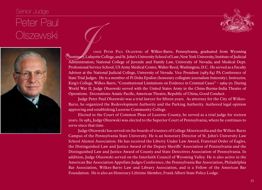#### Senior Judge

## Peter Paul





COLSZEWSKI<br>
UDGE PETER PAUL OLSZEWSKI Of Wilkes-Barre, Pennsylvania, graduated from Wyoming<br>
Seminary, Lafayette College, and St. John's University School of Law; New York University, Institute of Judicial<br>
Administration; Seminary, Lafayette College, and St. John's University School of Law; New York University, Institute of Judicial Administration; National College of Juvenile and Family Law, University of Nevada; and Medical Dept. Professional Service School, US Army Medical Center, Walter Reed, Washington, D.C. He served as a Faculty Advisor at the National Judicial College, University of Nevada. Vice President (1983-84) PA Conference of State Trial Judges. He is a member of Pi Delta Epsilon (honorary collegiate journalism fraternity). Instructor, King's College, Wilkes-Barre, "Constitutional Limitations on Evidence in Criminal Cases" – 1969-70. During World War II, Judge Olszewski served with the United States Army in the China-Burma-India Theatre of Operations. Decorations: Asiatic Pacific, American Theatre, Republic of China, Good Conduct.

> Judge Peter Paul Olszewski was a trial lawyer for fifteen years. As attorney for the City of Wilkes-Barre, he organized the Redevelopment Authority and the Parking Authority. Authored legal opinion approving and establishing Luzerne Community College.

> Elected to the Court of Common Pleas of Luzerne County, he served as a trial judge for sixteen years. In 1983, Judge Olszewski was elected to the Superior Court of Pennsylvania, where he continues to serve since that time.

> Judge Olszewski has served on the boards of trustees of College Misericordia and the Wilkes-Barre Campus of the Pennsylvania State University. He is an honorary Director of St. John's University Law School Alumni Association. He has received the Liberty Under Law Award, Fraternal Order of Eagles, the Distinguished Law and Justice Award of the Deputy Sheriffs' Association of Pennsylvania and the Distinguished Law and Justice Award of County and State Detectives Association of Pennsylvania. In addition, Judge Olszewski served on the Interfaith Council of Wyoming Valley. He is also active in the American Bar Association Appellate Judges Conference, the Pennsylvania Bar Association, Philadelphia Bar Association, Wilkes-Barre Law and Library Association, and is a Fellow of the American Bar Foundation. He is also an Honorary Lifetime Member, Frank Albert State Police Lodge.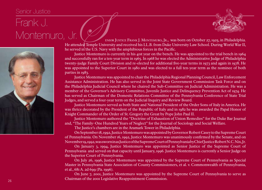#### Senior Justice

## Frank J.



Senior Justice<br>
Frank J.<br>
Montemuro, Jr. (Contemuro, Justice Frank J. Montemuro, Jr., was born on October 27, 1925, in Philadelphia.<br>
He attended Temple University and received his LLB. from Duke University Law School. Dur He attended Temple University and received his LL.B. from Duke University Law School. During World War II, he served in the U.S. Navy with the amphibious forces in the Pacific.

Justice Montemuro is currently in his 41st year on the bench. He was appointed to the trial bench in 1964 and successfully ran for a ten-year term in 1965. In 1968 he was elected the Administrative Judge of Philadelphia twenty-judge Family Court Division and re-elected for additional five-year terms in 1973 and again in 1978. He was appointed to the Superior Court in 1980 and was elected to a full ten-year term as the nominee of both parties in 1983.

Justice Montemuro was appointed to chair the Philadelphia Regional Planning Council, Law Enforcement Assistance Administration. He has also served in the Joint State Government Commission Task Force and on the Philadelphia Judicial Council where he chaired the Sub-Committee on Judicial Administration. He was a member of the Governor's Advisory Committee, Juvenile Justice and Delinquency Prevention Act of 1974. He has served as Chairman of the Domestic Relations Committee of the Pennsylvania Conference of State Trial Judges, and served a four-year term on the Judicial Inquiry and Review Board.

Justice Montemuro served as both State and National President of the Order Sons of Italy in America. He was thrice decorated by the President of the Republic of Italy and in 1982 he was awarded the Papal Honor of Knight Commander of the Order of St. Gregory the Great by Pope John Paul II.

Justice Montemuro authored the "Doctrine of Exhaustion of Union Remedies" for the Duke Bar Journal and, "The Family–One Hundred Years of Neglect" for the Journal of Sociology and Social Welfare.

The Justice's chambers are in the Aramark Tower in Philadelphia.

On September 18, 1992, Justice Montemuro was appointed by Governor Robert Casey to the Supreme Court of Pennsylvania. On November 16, 1992, Justice Montemuro was unanimously confirmed by the Senate, and on November 19, 1992, was sworn in as Justice of the Supreme Court of Pennsylvania by Chief Justice Robert N.C. Nix, Jr.

On January 3, 1994, Justice Montemuro was appointed as Senior Justice of the Supreme Court of Pennsylvania and served on that capacity until January, 1996. Justice Montemuro is currently a Senior Judge on the Superior Court of Pennsylvania.

On July 26, 1996, Justice Montemuro was appointed by the Supreme Court of Pennsylvania as Special Master in Pennsylvania State Association of County Commissioners, et al. v. Commonwealth of Pennsylvania, et al., 681 A. 2d 699 (Pa. 1996).

On June 7, 2001, Justice Montemuro was appointed by the Supreme Court of Pennsylvania to serve as Chairman of the 2001 Legislative Reappointment Commission.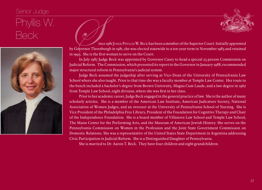#### Senior Judge



## Phyllis W.



BECK SINCE 1981 JUDGE PHYLLIS W. BECK has been a member of the Superior Court. Initially appointed<br>by Governor Thornburgh in 1981, she was elected statewide to a ten-year term in November 1983 and retained<br>in 1993. She is by Governor Thornburgh in 1981, she was elected statewide to a ten-year term in November 1983 and retained in 1993. She is the first woman to serve on the Court.

> In July 1987 Judge Beck was appointed by Governor Casey to head a special 23 person Commission on Judicial Reform. The Commission, which presented its report to the Governor in January 1988, recommended major structural reform in Pennsylvania's judicial system.

> Judge Beck assumed the judgeship after serving as Vice-Dean of the University of Pennsylvania Law School where she also taught. Prior to that time she was a faculty member at Temple Law Center. Her route to the bench included a bachelor's degree from Brown University, Magna Cum Laude, and a law degree in 1967 from Temple Law School, night division, where she was first in her class.

> Prior to her academic career, Judge Beck engaged in the general practice of law. She is the author of many scholarly articles. She is a member of the American Law Institute, American Judicature Society, National Association of Women Judges, and an overseer at the University of Pennsylvania School of Nursing. She is Vice President of the Philadelphia Free Library, President of the Foundation for Cognitive Therapy and Chair of the Independence Foundation. She is a board member of Villanova Law School and Temple Law School, The Mann Center for the Performing Arts, and the Museum of American Jewish History. She serves on the Pennsylvania Commission on Women in the Profession and the Joint State Government Commission on Domestic Relations. She was a representative of the United States State Department in Argentina addressing Civic Participation in Judicial Reform. She is a Distinguished Daughter of Pennsylvania.

She is married to Dr. Aaron T. Beck. They have four children and eight grandchildren.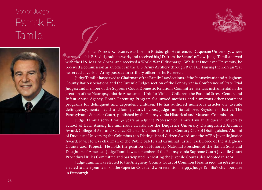### Senior Judge Patrick R.

TAMIII<br>TAMIII<br>Judge Patrick R. Tamilla was born in Pittsburgh. He attended Duquesne University, where<br>with the U.S. Marine Corps, and received a World War II discharge. While at Duquesne University, he<br>with the U.S. Marine he received his B.S., did graduate work, and received his J.D. from the School of Law. Judge Tamilia served with the U.S. Marine Corps, and received a World War II discharge. While at Duquesne University, he received a commission as an officer in the U.S. Army Artillery through R.O.T.C. During the Korean War he served at various Army posts as an artillery officer in the Reserves.

> Judge Tamilia has served as Chairman of the Family Law Sections of the Pennsylvania and Allegheny County Bar Associations and the Juvenile Judges section of the Pennsylvania Conference of State Trial Judges; and member of the Supreme Court Domestic Relations Committee. He was instrumental in the creation of the Neuropsychiatric Assessment Unit for Violent Children, the Parental Stress Center, and Infant Abuse Agency; Booth Parenting Program for unwed mothers and numerous other treatment programs for delinquent and dependent children. He has authored numerous articles on juvenile delinquency, mental health and family court. In 2000, Judge Tamilia authored Keystone of Justice, The Pennsylvania Superior Court, published by the Pennsylvania Historical and Museum Commission.

> Judge Tamilia served for 30 years as adjunct Professor of Family Law at Duquesne University School of Law. Among his numerous awards are the Duquesne University Distinguished Alumnus Award, College of Arts and Science; Charter Membership in the Century Club of Distinguished Alumni of Duquesne University; the Columbus 500 Distinguished Citizen Award; and the ACBA Juvenile Justice Award, 1991. He was chairman of the Public Safety and Criminal Justice Task Force of the Allegheny County 2001 Project. He holds the position of Honorary National President of the Italian Sons and Daughters of America. Judge Tamilia was a member of the Pennsylvania Supreme Court Juvenile Court Procedural Rules Committee and participated in creating the Juvenile Court rules adopted in 2005.

> Judge Tamilia was elected to the Allegheny County Court of Common Pleas in 1969. In 1983 he was elected to a ten-year term on the Superior Court and won retention in 1993. Judge Tamilia's chambers are in Pittsburgh.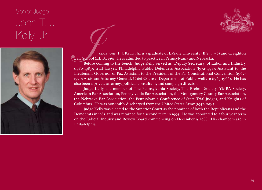### Senior Judge



## John T. J.



SUCT IT THE U.<br>
UDGE JOHN T. J. KELLY, JR. is a graduate of LaSalle University (B.S., 1956) and Creighton<br>
Law School (LL.B., 1961); he is admitted to practice in Pennsylvania and Nebraska.<br>
Before coming to the bench, Jud Law School (LL.B., 1961); he is admitted to practice in Pennsylvania and Nebraska.

Before coming to the bench, Judge Kelly served as Deputy Secretary, of Labor and Industry (1980-1985); trial lawyer, Philadelphia Public Defenders Association (l972-l978); Assistant to the Lieutenant Governor of Pa., Assistant to the President of the Pa. Constitutional Convention (1967- 1971); Assistant Attorney General, Chief Counsel Department of Public Welfare (1963-1966). He has also been a private attorney, political consultant, and campaign director.

Judge Kelly is a member of The Pennsylvania Society, The Brehon Society, YMBA Society, American Bar Association, Pennsylvania Bar Association, the Montgomery County Bar Association, the Nebraska Bar Association, the Pennsylvania Conference of State Trial Judges, and Knights of Columbus. He was honorably discharged from the United States Army (1952-1954).

Judge Kelly was elected to the Superior Court as the nominee of both the Republicans and the Democrats in 1985 and was retained for a second term in 1995. He was appointed to a four year term on the Judicial Inquiry and Review Board commencing on December 9, 1988. His chambers are in Philadelphia.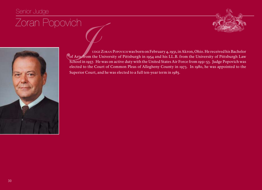#### Senior Judge





FODOVICH<br>UDGEZORAN Popovich was born on February 4, 1931, in Akron, Ohio. He received his Bachelor<br>School in 1957. He was on active duty with the United States Air Force from 1951-53. Judge Popovich was of Arts from the University of Pittsburgh in 1954 and his LL.B. from the University of Pittsburgh Law School in 1957. He was on active duty with the United States Air Force from 1951-53. Judge Popovich was elected to the Court of Common Pleas of Allegheny County in 1973. In 1980, he was appointed to the Superior Court, and he was elected to a full ten-year term in 1985.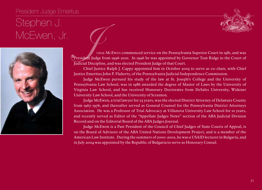#### President Judge Emeritus

## Stephen J.<br>McEwen, Jr.



MCEWEN, Jr.<br>Junge McEwen commenced service on the Pennsylvania Superior Court in 1981, and was<br>president Judge from 1996-2001. In 1996 he was appointed by Governor Tom Ridge to the Court of<br>Judicial Discipline, and was ele President Judge from 1996-2001. In 1996 he was appointed by Governor Tom Ridge to the Court of Judicial Discipline, and was elected President Judge of that Court.

> Chief Justice Ralph J. Cappy appointed him in October 2005 to serve as co-chair, with Chief Justice Emeritus John P. Flaherty, of the Pennsylvania Judicial Independence Commission.

> Judge McEwen pursued his study of the law at St. Joseph's College and the University of Pennsylvania Law School, was in 1986 awarded the degree of Master of Laws by the University of Virginia Law School, and has received Honorary Doctorates from DeSales University, Widener University Law School, and the University of Scranton.

> Judge McEwen, a trial lawyer for 23 years, was the elected District Attorney of Delaware County from 1967-1976, and thereafter served as General Counsel for the Pennsylvania District Attorneys Association. He was a Professor of Trial Advocacy at Villanova University Law School for 10 years, and recently served as Editor of the "Appellate Judges News" section of the ABA Judicial Division Record and on the Editorial Board of the ABA Judges Journal.

> Judge McEwen is a Past President of the Council of Chief Judges of State Courts of Appeal, is on the Board of Advisors of the ABA United Nations Development Project, and is a member of the American Law Institute. During the summers of 2000-2002, he was a USAID lecturer in Bulgaria, and in July 2004 was appointed by the Republic of Bulgaria to serve as Honorary Consul.

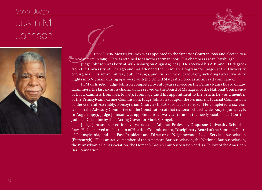### Senior Judge



## Justin M.



JOHNSON UGSULL TO THE JUSTIN MORRIS JOHNSON WAS appointed to the Superior Court in 1980 and elected to a<br>Judge Johnson was born at Wilkinsburg on August 19, 1933. He received his A.B. and J.D. degrees ten-year term in 1985. He was retained for another term in 1995. His chambers are in Pittsburgh.

Judge Johnson was born at Wilkinsburg on August 19, 1933. He received his A.B. and J.D. degrees from the University of Chicago and has attended the Graduate Program for Judges at the University of Virginia. His active military duty,  $1954-59$ , and his reserve duty  $1963-73$ , including two active duty flights into Vietnam during 1971, were with the United States Air Force as an aircraft commander.

In March, 1989, Judge Johnson completed twenty years service on the Pennsylvania Board of Law Examiners, the last six as its chairman. He served on the Board of Managers of the National Conference of Bar Examiners from 1984 to 1989. From 1977 until his appointment to the bench, he was a member of the Pennsylvania Crime Commission. Judge Johnson sat upon the Permanent Judicial Commission of the General Assembly, Presbyterian Church (U.S.A.) from 1981 to 1989. He completed a six-year term on the Advisory Committee on the Constitution of that national, churchwide body in June, 1996. In August, 1993, Judge Johnson was appointed to a two-year term on the newly-established Court of Judicial Discipline by then Acting Governor Mark S. Singel.

Judge Johnson served for five years as an Adjunct Professor, Duquesne University School of Law. He has served as chairman of Hearing Committee 4.11, Disciplinary Board of the Supreme Court of Pennsylvania, and is a Past President and Director of Neighborhood Legal Services Association (Pittsburgh). He is an active member of the American Bar Association, the National Bar Association, the Pennsylvania Bar Association, the Homer S. Brown Law Association and is a Fellow of the American Bar Foundation.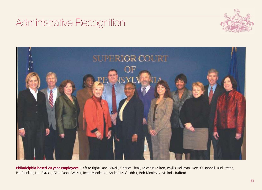### Administrative Recognition





**Philadelphia-based 20 year employees:** (Left to right) Jane O'Neill, Charles Thrall, Michele Usilton, Phyllis Holliman, Dotti O'Donnell, Bud Patton, Pat Franklin, Len Blazick, Gina Paone Weiser, Rene Middleton, Andrea McGoldrick, Bob Morrissey, Melinda Trafford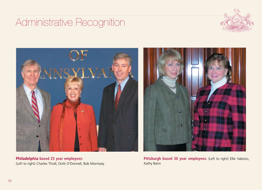### Administrative Recognition





**Philadelphia based 25 year employees:** (Left to right) Charles Thrall, Dotti O'Donnell, Bob Morrissey



Pittsburgh based 30 year employees: (Left to right) Ellie Valecko, Kathy Bann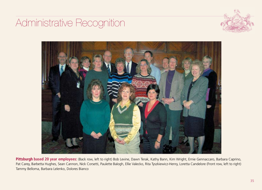### Administrative Recognition





**Pittsburgh based 20 year employees:** (Back row, left to right) Bob Levine, Dawn Terak, Kathy Bann, Kim Wright, Ernie Gennaccaro, Barbara Caprino, Pat Carey, Barbetta Hughes, Sean Cannon, Nick Corsetti, Paulette Balogh, Ellie Valecko, Rita Tyszkiewicz-Henry, Loretta Candelore (Front row, left to right) Tammy Belloma, Barbara Lelenko, Dolores Bianco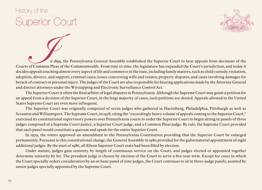#### History of the

## Superior Court



In 1895, the Pennsylvania General Assembly established the Superior Court to hear appeals from decisions of the<br>In 1895, the Pennsylvania General Assembly established the Superior Court to hear appeals from decisions of th Courts of Common Pleas of the Commonwealth. From time to time, the legislature has expanded the Court's jurisdiction, and today it decides appeals touching almost every aspect of life and commerce in the state, including family matters, such as child custody, visitation, adoption, divorce, and support; criminal cases; issues concerning wills and estates; property disputes; and cases involving damages for breach of contract or personal injury. The judges of the Court are also responsible for hearing applications made by the Attorney General and district attorneys under the Wiretapping and Electronic Surveillance Control Act.

The Superior Court is often the final arbiter of legal disputes in Pennsylvania. Although the Supreme Court may grant a petition for an appeal from a decision of the Superior Court, in the large majority of cases, such petitions are denied. Appeals allowed to the United States Supreme Court are even more infrequent.

The Superior Court was originally composed of seven judges who gathered in Harrisburg, Philadelphia, Pittsburgh as well as Scranton and Williamsport. The Supreme Court, in 1978, citing the "exceedingly heavy volume of appeals coming to the Superior Court," exercised its constitutional supervisory powers over Pennsylvania courts to order the Superior Court to begin sitting in panels of three judges composed of a Supreme Court justice, a Superior Court judge, and a Common Pleas judge. By rule, the Supreme Court provided that each panel would constitute a quorum and speak for the entire Superior Court.

In 1979, the voters approved an amendment to the Pennsylvania Constitution providing that the Superior Court be enlarged permanently. Pursuant to this constitutional change, the General Assembly in 1980 provided for the gubernatorial appointment of eight additional judges. By the start of 1986, all fifteen Superior Court seats had been filled by election.

Under statute, judges gain seniority by length of continuous service on the Court, and judges elected or appointed together determine seniority by lot. The president judge is chosen by election of the Court to serve a five-year term. Except for cases in which the Court specially orders consideration by an en banc panel of nine judges, the Court continues to sit in three-judge panels, assisted by senior judges specially appointed by the Supreme Court.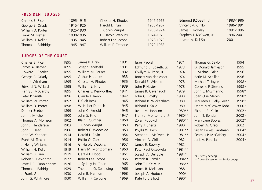#### **president judges**

| Charles E. Rice     | 1895-1915 | Chester H. Rhodes  | 1947-1965 | Edmund B.Spaeth, Jr.   | 1983-1986 |
|---------------------|-----------|--------------------|-----------|------------------------|-----------|
| George B. Orlady    | 1915-1925 | Harold L. Irvin    | 1965-1967 | Vincent A. Cirillo     | 1986-1991 |
| William D. Porter   | 1925-1930 | J. Colvin Wright   | 1968-1974 | James E. Rowley        | 1991-1996 |
| Frank M. Trexler    | 1930-1935 | G. Harold Watkins  | 1974-1978 | Stephen J. McEwen, Jr. | 1996-2001 |
| William H. Keller   | 1935-1945 | Robert Lee Jacobs  | 1978-1979 | Joseph A. Del Sole     | $2001 -$  |
| Thomas J. Baldridge | 1945-1947 | William F. Cercone | 1979-1983 |                        |           |

#### **judges of the court**

| Charles E. Rice       | 1895 | James B. Drew         | 1931 | <b>Israel Packel</b>    | 1971   | Thomas G. Saylor                     | 1994  |
|-----------------------|------|-----------------------|------|-------------------------|--------|--------------------------------------|-------|
| James A. Beaver       | 1895 | Joseph Stadtfeld      | 1931 | Edmund B. Spaeth. Jr.   | 1973   | D. Donald Jamieson                   | 1995  |
| Howard J. Reeder      | 1895 | William M. Parker     | 1932 | Gwilym A. Price, Jr.    | 1974   | J. Michael Eakin                     | 1996  |
| George B. Orlady      | 1895 | Arthur H. James       | 1933 | Robert Van der Voort    | 1974   | Berle M. Schiller                    | 1996  |
| John J. Wickham       | 1895 | Chester H. Rhodes     | 1935 | Donald E. Wieand        | 1978   | Michael T. Joyce                     | 1998* |
| Edward N. Willard     | 1895 | William E. Hirt       | 1939 | John P. Hester          | 1978   | Correale F. Stevens                  | 1998* |
| Henry J. McCarthy     | 1895 | Charles E. Kenworthey | 1941 | James R. Cavanaugh      | 1979   | John L. Musmanno                     | 1998* |
| Peter P. Smith        | 1896 | Claude T. Reno        | 1942 | John G. Brosky          | 1980   | Joan Orie Melvin                     | 1998* |
| William W. Porter     | 1897 | F. Clair Ross         | 1945 | Richard B. Wickersham   | 1980   | Maureen E. Lally-Green               | 1998* |
| William D. Porter     | 1898 | W. Heber Dithrich     | 1945 | Richard DiSalle         | 1980   | Debra McCloskey Todd                 | 2000* |
| Dimner Beeber         | 1899 | John C. Arnold        | 1945 | Justin M. Johnson       | 1980** | Richard B. Klein                     | 2002* |
| John I. Mitchell      | 1900 | John S. Fine          | 1947 | Frank J. Montemuro, Jr. | 1980** | John T. Bender                       | 2002* |
| Thomas A. Morrison    | 1902 | Blair F. Gunther      | 1950 | Zoran Popovich          | 1980** | Mary Jane Bowes                      | 2002* |
| John J. Henderson     | 1903 | J. Colvin Wright      | 1953 | Perry J. Shertz         | 1980   | Robert A. Graci                      | 2002  |
| John B. Head          | 1906 | Robert E. Woodside    | 1953 | Phyllis W. Beck         | 1981** | Susan Peikes Gantman                 | 2004* |
| John W. Kephart       | 1914 | Harold L. Ervin       | 1954 | Stephen J. McEwen, Jr.  | 1981** | Seamus P. McCaffery                  | 2004* |
| Frank M. Trexler      | 1914 | Phillip O. Carr       | 1956 | Vincent A. Cirillo      | 1982   | Jack A. Panella                      | 2004* |
| J. Henry Williams     | 1916 | G. Harold Watkins     | 1957 | James E. Rowley         | 1982   |                                      |       |
| William H. Keller     | 1919 | Harry M. Montgomery   | 1960 | Peter Paul Olszewski    | 1984** |                                      |       |
| William B. Linn       | 1919 | Gerald F. Flood       | 1961 | Joseph A. Del Sole      | 1984*  | *Currently serving                   |       |
| Robert S. Gawthrop    | 1922 | Robert Lee Jacobs     | 1965 | Patrick R. Tamilia      | 1984** | ** Currently serving as Senior Judge |       |
| Jesse E.B. Cunningham | 1926 | J. Sydney Hoffman     | 1965 | John T.J. Kelly, Jr.    | 1986** |                                      |       |
| Thomas J. Baldrige    | 1929 | Theodore O. Spaulding | 1966 | James R. Melinson       | 1988   |                                      |       |
| J. Frank Graff        | 1930 | John B. Hannum        | 1968 | Joseph A. Hudock        | 1990*  |                                      |       |
| John G. Whitmore      | 1930 | William F. Cercone    | 1969 | Kate Ford Elliott       | 1990*  |                                      |       |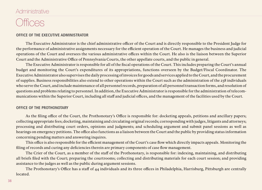#### **Administrative**

### **Offices**

#### **OFFICE OF THE EXECUTIVE ADMINISTRATOR**

The Executive Administrator is the chief administrative officer of the Court and is directly responsible to the President Judge for the performance of administrative assignments necessary for the efficient operation of the Court. He manages the business and judicial operations of the Court and oversees the various administrative offices within the Court. He also is the liaison between the Superior Court and the Administrative Office of Pennsylvania Courts, the other appellate courts, and the public in general.

The Executive Administrator is responsible for all of the fiscal operations of the Court. This includes preparing the Court's annual budget and monitoring the Court's expenditures of its appropriations, functions overseen by the Budget/Fiscal Coordinator. The Executive Administrator also supervises the daily processing of invoices for goods and services applied to the Court, and the procurement of supplies. Business responsibilities also extend to other operations within the Court such as the administration of the 238 individuals who serve the Court, and include maintenance of all personnel records, preparation of all personnel transaction forms, and resolution of questions and problems relating to personnel. In addition, the Executive Administrator is responsible for the administration of telecommunications within the Superior Court, including all staff and judicial offices, and the management of the facilities used by the Court.

#### **OFFICE OF THE PROTHONOTARY**

As the filing office of the Court, the Prothonotary's Office is responsible for: docketing appeals, petitions and ancillary papers; collecting appropriate fees; docketing, maintaining and circulating original records; corresponding with judges, litigants and attorneys; processing and distributing court orders, opinions and judgments; and scheduling argument and submit panel sessions as well as hearings on emergency petitions. The office also functions as a liaison between the Court and the public by providing status information concerning pending matters and answering inquires.

This office is also responsible for the efficient management of the Court's case flow which directly impacts appeals. Monitoring the filing of records and curing any deficiencies therein are primary components of case flow management.

The Crier of the Court, as a member of the staff of the Prothonotary, is responsible for: indexing, maintaining, and distributing all briefs filed with the Court; preparing the courtrooms; collecting and distributing materials for each court session; and providing assistance to the judges as well as the public during argument sessions.

The Prothonotary's Office has a staff of 44 individuals and its three offices in Philadelphia, Harrisburg, Pittsburgh are centrally located.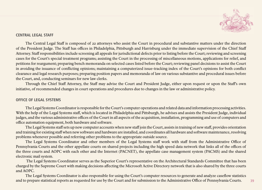

#### **CENTRAL LEGAL STAFF**

The Central Legal Staff is composed of 22 attorneys who assist the Court in procedural and substantive matters under the direction of the President Judge. The Staff has offices in Philadelphia, Pittsburgh and Harrisburg under the immediate supervision of the Chief Staff Attorney. Staff responsibilities include screening all appeals for jurisdictional defects prior to listing before the Court; reviewing and screening cases for the Court's special treatment programs; assisting the Court in the processing of miscellaneous motions, applications for relief, and petitions for reargument; preparing bench memoranda on selected cases listed before the Court; reviewing panel decisions to assist the Court in avoiding the issuance of conflicting opinions; maintaining a computerized issue-tracking index of the Court's opinions for both conflict clearance and legal research purposes; preparing position papers and memoranda of law on various substantive and procedural issues before the Court, and, conducting seminars for new law clerks.

Through the Chief Staff Attorney, the Staff may advise the Court and President Judge, either upon request or upon the Staff's own initiative, of recommended changes in court operations and procedures due to changes in the law or administrative policy.

#### **OFFICE OF LEGAL SYSTEMS**

The Legal Systems Coordinator is responsible for the Court's computer operations and related data and information processing activities. With the help of the Legal Systems staff, which is located in Philadelphia and Pittsburgh, he advises and assists the President Judge, individual judges, and the various administrative offices of the Court in all aspects of the acquisition, installation, programming and use of computers and office automation equipment, both hardware and software.

The Legal Systems staff sets up new computer accounts when new staff join the Court, assists in training of new staff, provides orientation and training for existing staff when new software and hardware are installed, and coordinates all hardware and software maintenance, resolving problems whenever possible and referring other problems to the appropriate outside source.

The Legal Systems Coordinator and other members of the Legal Systems staff work with staff from the Administrative Office of Pennsylvania Courts and the other appellate courts on shared projects including the high speed data network that links all of the offices of the three courts and AOPC with each other and the Internet (PACNET), the appellate case management system (PACMS) and the shared electronic mail system.

 The Legal Systems Coordinator serves as the Superior Court's representative on the Architectural Standards Committee that has been charged by the Supreme Court with making decisions affecting the Microsoft Active Directory network that is also shared by the three courts and AOPC.

The Legal Systems Coordinator is also responsible for using the Court's computer resources to generate and analyze caseflow statistics and to prepare statistical reports as requested for use by the Court and for submission to the Administrative Office of Pennsylvania Courts.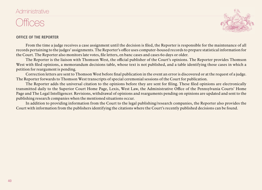#### **Administrative**

### **Offices**



#### **OFFICE OF THE REPORTER**

From the time a judge receives a case assignment until the decision is filed, the Reporter is responsible for the maintenance of all records pertaining to the judges' assignments. The Reporter's office uses computer-housed records to prepare statistical information for the Court. The Reporter also monitors late votes, file letters, en banc cases and cases 60 days or older.

The Reporter is the liaison with Thomson West, the official publisher of the Court's opinions. The Reporter provides Thomson West with filed opinions, a memorandum decisions table, whose text is not published, and a table identifying those cases in which a petition for reargument is pending.

Correction letters are sent to Thomson West before final publication in the event an error is discovered or at the request of a judge. The Reporter forwards to Thomson West transcripts of special ceremonial sessions of the Court for publication.

The Reporter adds the universal citation to the opinions before they are sent for filing. These filed opinions are electronically transmitted daily to the Superior Court Home Page, Lexis, West Law, the Administrative Office of the Pennsylvania Courts' Home Page and The Legal Intelligencer. Revisions, withdrawal of opinions and rearguments pending on opinions are updated and sent to the publishing research companies when the mentioned situations occur.

In addition to providing information from the Court to the legal publishing/research companies, the Reporter also provides the Court with information from the publishers identifying the citations where the Court's recently published decisions can be found.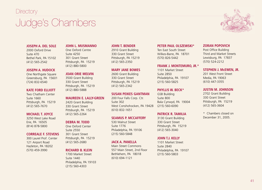## Judge's Chambers



#### **Zoran Popovich**

Post Office Building Third and Market Streets Lewisburg, PA 17837 (570) 524-2212

#### **Stephen J. McEwen, Jr.**

201 West Front Street Media, PA 19063 (610) 447-3355

#### **Justin M. Johnson**

2702 Grant Building 330 Grant Street Pittsburgh, PA 15219 (412) 565-3604

\* Chambers closed on December 31, 2005.

#### **Joseph A. Del Sole**

2000 Oxford Drive Suite 470 Bethel Park, PA 15102 (412) 565-2542

#### **Joseph A. Hudock**

One Northgate Square Greensburg, PA 15601 (724) 832-6540

#### **Kate Ford Elliott**

Two Chatham Center Suite 1660 Pittsburgh, PA 15219 (412) 565-7670

#### **Michael T. Joyce**

3250 West Lake Road Erie, PA 16505 (814) 878-5800

#### **Correale F. Stevens**

300 Laurel Prof. Center 121 Airport Road Hazleton, PA 18202 (570) 459-3990

#### **John L. Musmanno**

One Oxford Centre Suite 4250 301 Grant Street Pittsburgh, PA 15219 (412) 880-5800

#### **Joan Orie Melvin**

3500 Grant Building 330 Grant Street Pittsburgh, PA 15219 (412) 880-5888

#### **Maureen E. Lally-Green**

2420 Grant Building 330 Grant Street Pittsburgh, PA 15219 (412) 565-2264

#### **Debra M. Todd**

One Oxford Center Suite 2550 301 Grant Street Pittsburgh, PA 15219 (412) 565-2680

#### **Richard B. Klein**

1700 Market Street Suite 1440 Philadelphia, PA 19103 (215) 560-4303

#### **John T. Bender**

2910 Grant Building 330 Grant Street Pittsburgh, PA 15219 (412) 565-2350

#### **Mary Jane Bowes**

2600 Grant Building 330 Grant Street Pittsburgh, PA 15219 (412) 565-2342

#### **Susan Peikes Gantman**

200 Four Falls Corp. Ctr. Suite 302 West Conshohocken, PA 19428 (610) 832-1651

#### **Seamus P. McCaffery**

530 Walnut Street Suite 1776 Philadelphia, PA 19106 (215) 560-5848

#### **Jack A. Panella**

Main Street Commons 557 Main Street, 2nd Floor Bethlehem, PA 18018 (610) 694-1121

#### **Peter Paul Olszewski\***

Ten East South Street Wilkes-Barre, PA 18701 (570) 826-5442

#### **Frank J. Montemuro, Jr.\***

1101 Market Street Suite 2850 Philadelphia, PA 19107 (215) 560-5825

#### **Phyllis W. Beck\***

GSB Building Suite 800 Bala Cynwyd, PA 19004 (215) 560-6090

#### **Patrick R. Tamilia**

3130 Grant Building 330 Grant Street Pittsburgh, PA 15219 (412) 565-3040

#### **John T.J. Kelly**

1101 Market Street Suite 2840 Philadelphia, PA 19107 (215) 560-5803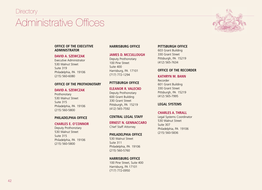## Administrative Offices



#### **OFFICE OF THE EXECUTIVE ADMINISTRATOR**

#### **David A. Szewczak**

Executive Administrator 530 Walnut Street Suite 319 Philadelphia, PA 19106 (215) 560-6080

#### **OFFICE OF THE PROTHONOTARY**

#### **David A. Szewczak**

Prothonotary 530 Walnut Street Suite 315 Philadelphia, PA 19106 (215) 560-5800

#### **Philadelphia Office**

#### **Charles e. O'Connor**

Deputy Prothonotary 530 Walnut Street Suite 315 Philadelphia, PA 19106 (215) 560-5800

#### **Harrisburg Office**

#### **James D. McCullough**

Deputy Prothonotary 100 Pine Street Suite 400 Harrisburg, PA 17101 (717) 772-1294

#### **Pittsburgh Office**

#### **Eleanor r. Valecko**

Deputy Prothonotary 600 Grant Building 330 Grant Street Pittsburgh, PA 15219 (412) 565-7592

#### **CENTRAL LEGAL STAFF**

**Ernest N. Gennaccaro** Chief Staff Attorney

#### **Philadelphia Office**

530 Walnut Street Suite 311 Philadelphia, PA 19106 (215) 560-5760

#### **Harrisburg Office**

100 Pine Street, Suite 400 Harrisburg, PA 17101 (717) 772-0950

#### **PITTSBURGH OFFICE**

603 Grant Building 330 Grant Street Pittsburgh, PA 15219 (412) 565-7634

#### **OFFICE OF THE RECORDER**

#### **Kathryn M. Bann**

Recorder 601 Grant Building 330 Grant Street Pittsburgh, PA 15219 (412) 565-7995

#### **LEGAL SYSTEMS**

#### **Charles A. Thrall**

Legal Systems Coordinator 530 Walnut Street Suite 307 Philadelphia, PA 19106 (215) 560-5836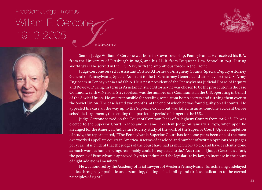#### President Judge Emeritus

# William F. Cercone<br>1913-2005<br>Senior Judge William F.



Senior Judge William F. Cercone was born in Stowe Township, Pennsylvania. He received his B.A. from the University of Pittsburgh in 1936, and his LL.B. from Duquesne Law School in 1941. During World War II he served in the U.S. Navy with the amphibious forces in the Pacific.

Judge Cercone served as Assistant District Attorney of Allegheny County, Special Deputy Attorney General of Pennsylvania, Special Assistant to the U.S. Attorney General, and attorney for the U.S. Army Engineers in Pennsylvania and Ohio. He is past president of the Pennsylvania Judicial Board of Inquiry and Review. During his term as Assistant District Attorney he was chosen to be the prosecutor in the case Commonwealth v. Nelson. Steve Nelson was the number one Communist in the U.S. operating in behalf of the Soviet Union. He was responsible for stealing some atom bomb secrets and turning them over to the Soviet Union. The case lasted two months, at the end of which he was found guilty on all counts. He appealed his case all the way up to the Supreme Court, but was killed in an automobile accident before scheduled arguments, thus ending that particular period of danger to the U.S..

Judge Cercone served on the Court of Common Pleas of Allegheny County from 1956-68. He was elected to the Superior Court in 1968 and became President Judge on January 2, 1979, whereupon he arranged for the American Judicature Society study of the work of the Superior Court. Upon completion of study, the report stated, "The Pennsylvania Superior Court has for some years been one of the most overworked appellate courts in America in terms of caseload and number of written opinions per judges per year…it is evident that the judges of the court have had as much work to do, and have evidently done as much work as human beings reasonably could be expected to do." As a result of Judge Cercone's effort, the people of Pennsylvania approved, by referendum and the legislature by law, an increase in the court of eight additional members.

He was honored by the Academy of Trial Lawyers of Western Pennsylvania "for achieving undelayed justice through sympathetic understanding, distinguished ability and tireless dedication to the eternal principles of right."